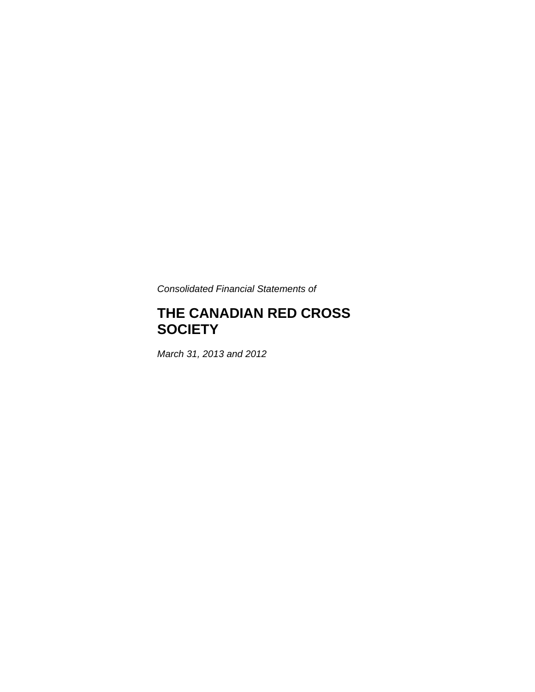*Consolidated Financial Statements of* 

# **THE CANADIAN RED CROSS SOCIETY**

*March 31, 2013 and 2012*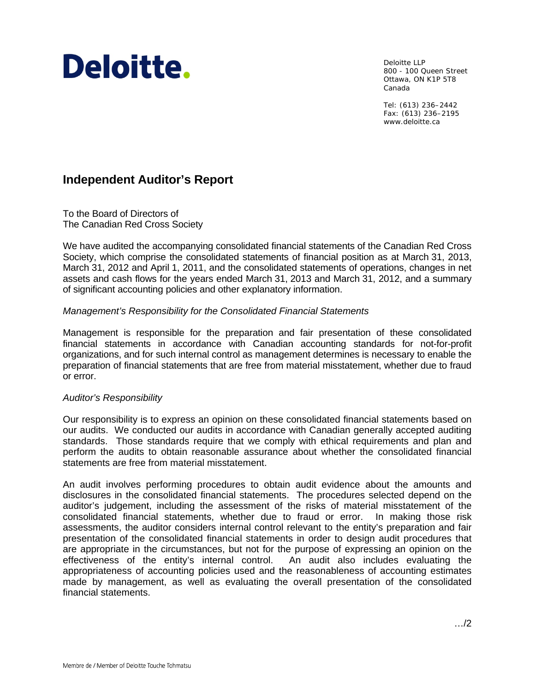# Deloitte.

Deloitte LLP 800 - 100 Queen Street Ottawa, ON K1P 5T8 Canada

Tel: (613) 236–2442 Fax: (613) 236–2195 www.deloitte.ca

# **Independent Auditor's Report**

To the Board of Directors of The Canadian Red Cross Society

We have audited the accompanying consolidated financial statements of the Canadian Red Cross Society, which comprise the consolidated statements of financial position as at March 31, 2013, March 31, 2012 and April 1, 2011, and the consolidated statements of operations, changes in net assets and cash flows for the years ended March 31, 2013 and March 31, 2012, and a summary of significant accounting policies and other explanatory information.

#### *Management's Responsibility for the Consolidated Financial Statements*

Management is responsible for the preparation and fair presentation of these consolidated financial statements in accordance with Canadian accounting standards for not-for-profit organizations, and for such internal control as management determines is necessary to enable the preparation of financial statements that are free from material misstatement, whether due to fraud or error.

#### *Auditor's Responsibility*

Our responsibility is to express an opinion on these consolidated financial statements based on our audits. We conducted our audits in accordance with Canadian generally accepted auditing standards. Those standards require that we comply with ethical requirements and plan and perform the audits to obtain reasonable assurance about whether the consolidated financial statements are free from material misstatement.

An audit involves performing procedures to obtain audit evidence about the amounts and disclosures in the consolidated financial statements. The procedures selected depend on the auditor's judgement, including the assessment of the risks of material misstatement of the consolidated financial statements, whether due to fraud or error. In making those risk assessments, the auditor considers internal control relevant to the entity's preparation and fair presentation of the consolidated financial statements in order to design audit procedures that are appropriate in the circumstances, but not for the purpose of expressing an opinion on the effectiveness of the entity's internal control. An audit also includes evaluating the appropriateness of accounting policies used and the reasonableness of accounting estimates made by management, as well as evaluating the overall presentation of the consolidated financial statements.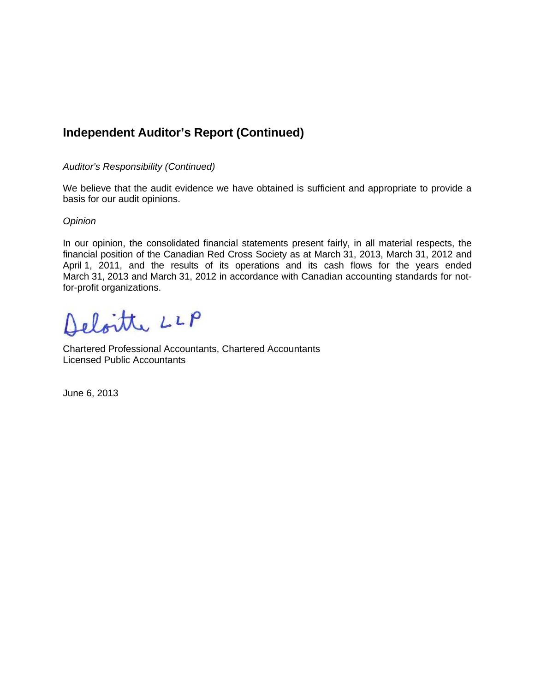# **Independent Auditor's Report (Continued)**

#### *Auditor's Responsibility (Continued)*

We believe that the audit evidence we have obtained is sufficient and appropriate to provide a basis for our audit opinions.

#### *Opinion*

In our opinion, the consolidated financial statements present fairly, in all material respects, the financial position of the Canadian Red Cross Society as at March 31, 2013, March 31, 2012 and April 1, 2011, and the results of its operations and its cash flows for the years ended March 31, 2013 and March 31, 2012 in accordance with Canadian accounting standards for notfor-profit organizations.

Deloitte LLP

Chartered Professional Accountants, Chartered Accountants Licensed Public Accountants

June 6, 2013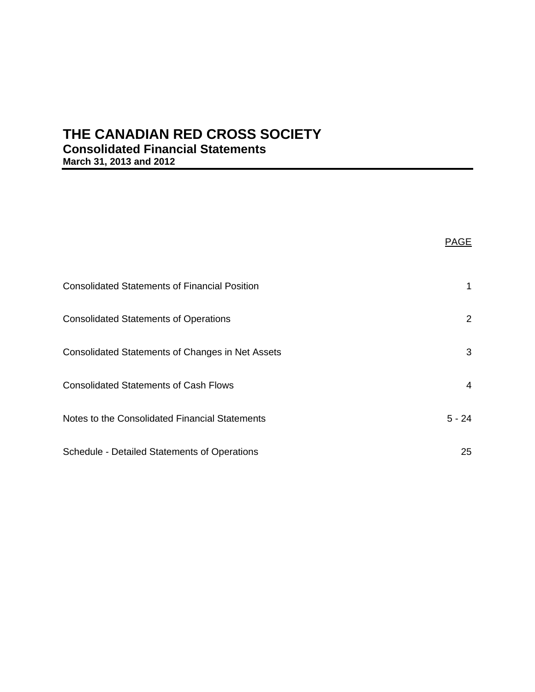# **THE CANADIAN RED CROSS SOCIETY Consolidated Financial Statements March 31, 2013 and 2012**

|                                                         | PAGE           |
|---------------------------------------------------------|----------------|
| <b>Consolidated Statements of Financial Position</b>    | 1              |
| <b>Consolidated Statements of Operations</b>            | $\overline{2}$ |
| <b>Consolidated Statements of Changes in Net Assets</b> | 3              |
| <b>Consolidated Statements of Cash Flows</b>            | $\overline{4}$ |
| Notes to the Consolidated Financial Statements          | $5 - 24$       |
| <b>Schedule - Detailed Statements of Operations</b>     | 25             |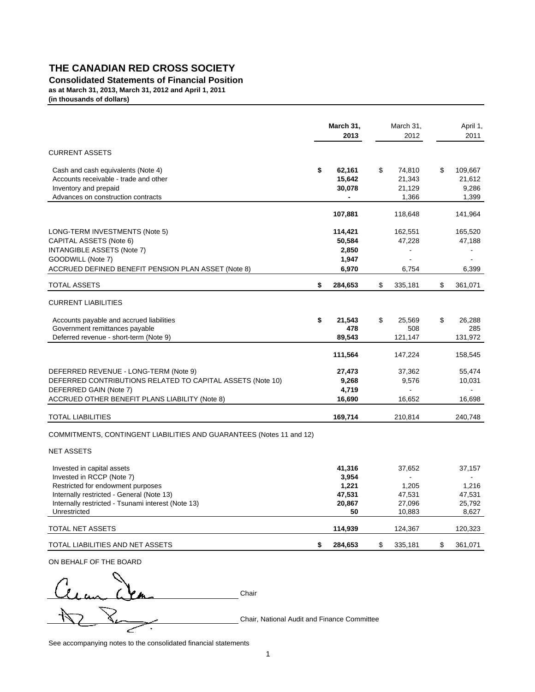#### **Consolidated Statements of Financial Position**

**as at March 31, 2013, March 31, 2012 and April 1, 2011 (in thousands of dollars)**

|                                                                      | March 31,<br>2013 | March 31,<br>2012 | April 1,<br>2011 |
|----------------------------------------------------------------------|-------------------|-------------------|------------------|
| <b>CURRENT ASSETS</b>                                                |                   |                   |                  |
| Cash and cash equivalents (Note 4)                                   | \$<br>62,161      | \$<br>74,810      | \$<br>109,667    |
| Accounts receivable - trade and other                                | 15,642            | 21,343            | 21,612           |
| Inventory and prepaid                                                | 30,078            | 21,129            | 9,286            |
| Advances on construction contracts                                   | $\blacksquare$    | 1,366             | 1,399            |
|                                                                      | 107,881           | 118,648           | 141,964          |
| LONG-TERM INVESTMENTS (Note 5)                                       | 114,421           | 162,551           | 165,520          |
| CAPITAL ASSETS (Note 6)                                              | 50,584            | 47,228            | 47,188           |
| <b>INTANGIBLE ASSETS (Note 7)</b>                                    | 2,850             | $\blacksquare$    | $\blacksquare$   |
| GOODWILL (Note 7)                                                    | 1,947             |                   |                  |
| ACCRUED DEFINED BENEFIT PENSION PLAN ASSET (Note 8)                  | 6,970             | 6,754             | 6,399            |
| <b>TOTAL ASSETS</b>                                                  | \$<br>284,653     | \$<br>335,181     | \$<br>361,071    |
| <b>CURRENT LIABILITIES</b>                                           |                   |                   |                  |
| Accounts payable and accrued liabilities                             | \$<br>21,543      | \$<br>25,569      | \$<br>26,288     |
| Government remittances payable                                       | 478               | 508               | 285              |
| Deferred revenue - short-term (Note 9)                               | 89,543            | 121,147           | 131,972          |
|                                                                      | 111,564           | 147,224           | 158,545          |
| DEFERRED REVENUE - LONG-TERM (Note 9)                                | 27,473            | 37,362            | 55,474           |
| DEFERRED CONTRIBUTIONS RELATED TO CAPITAL ASSETS (Note 10)           | 9,268             | 9,576             | 10,031           |
| DEFERRED GAIN (Note 7)                                               | 4,719             | $\blacksquare$    |                  |
| ACCRUED OTHER BENEFIT PLANS LIABILITY (Note 8)                       | 16,690            | 16,652            | 16,698           |
| <b>TOTAL LIABILITIES</b>                                             | 169,714           | 210,814           | 240,748          |
| COMMITMENTS, CONTINGENT LIABILITIES AND GUARANTEES (Notes 11 and 12) |                   |                   |                  |
| <b>NET ASSETS</b>                                                    |                   |                   |                  |
| Invested in capital assets                                           | 41,316            | 37,652            | 37,157           |
| Invested in RCCP (Note 7)                                            | 3,954             |                   |                  |
| Restricted for endowment purposes                                    | 1,221             | 1,205             | 1,216            |
| Internally restricted - General (Note 13)                            | 47,531            | 47,531            | 47,531           |
| Internally restricted - Tsunami interest (Note 13)<br>Unrestricted   | 20,867<br>50      | 27,096<br>10,883  | 25,792<br>8,627  |
| TOTAL NET ASSETS                                                     | 114,939           | 124,367           | 120,323          |
| TOTAL LIABILITIES AND NET ASSETS                                     | \$<br>284,653     | \$<br>335,181     | \$<br>361,071    |
|                                                                      |                   |                   |                  |

ON BEHALF OF THE BOARD

 $2.1 \ldots$  Creen  $\sum$  Chair Chair, National Audit and Finance Committee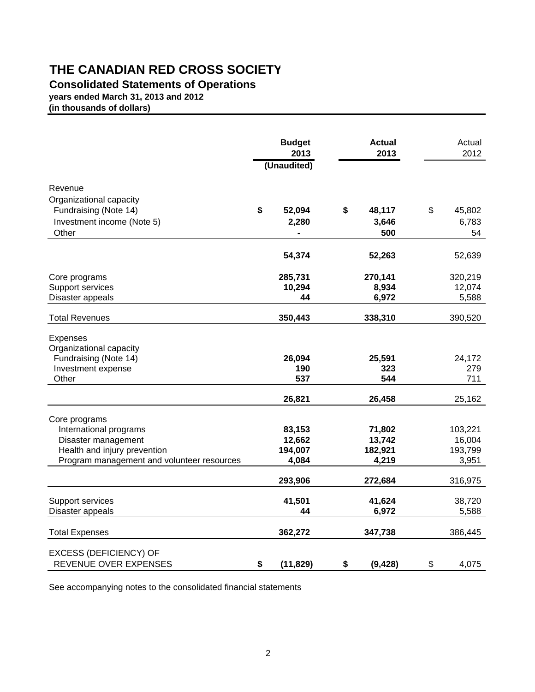## **Consolidated Statements of Operations**

**years ended March 31, 2013 and 2012**

**(in thousands of dollars)**

|                                                                                                                                              | <b>Budget</b><br>2013<br>(Unaudited) | <b>Actual</b><br>2013                | Actual<br>2012                        |
|----------------------------------------------------------------------------------------------------------------------------------------------|--------------------------------------|--------------------------------------|---------------------------------------|
| Revenue<br>Organizational capacity<br>Fundraising (Note 14)<br>Investment income (Note 5)<br>Other                                           | \$<br>52,094<br>2,280                | \$<br>48,117<br>3,646<br>500         | \$<br>45,802<br>6,783<br>54           |
|                                                                                                                                              | 54,374                               | 52,263                               | 52,639                                |
| Core programs<br>Support services<br>Disaster appeals                                                                                        | 285,731<br>10,294<br>44              | 270,141<br>8,934<br>6,972            | 320,219<br>12,074<br>5,588            |
| <b>Total Revenues</b>                                                                                                                        | 350,443                              | 338,310                              | 390,520                               |
| <b>Expenses</b><br>Organizational capacity<br>Fundraising (Note 14)<br>Investment expense<br>Other                                           | 26,094<br>190<br>537                 | 25,591<br>323<br>544                 | 24,172<br>279<br>711                  |
|                                                                                                                                              | 26,821                               | 26,458                               | 25,162                                |
| Core programs<br>International programs<br>Disaster management<br>Health and injury prevention<br>Program management and volunteer resources | 83,153<br>12,662<br>194,007<br>4,084 | 71,802<br>13,742<br>182,921<br>4,219 | 103,221<br>16,004<br>193,799<br>3,951 |
|                                                                                                                                              | 293,906                              | 272,684                              | 316,975                               |
| Support services<br>Disaster appeals                                                                                                         | 41,501<br>44                         | 41,624<br>6,972                      | 38,720<br>5,588                       |
| <b>Total Expenses</b>                                                                                                                        | 362,272                              | 347,738                              | 386,445                               |
| <b>EXCESS (DEFICIENCY) OF</b><br>REVENUE OVER EXPENSES                                                                                       | \$<br>(11, 829)                      | \$<br>(9, 428)                       | \$<br>4,075                           |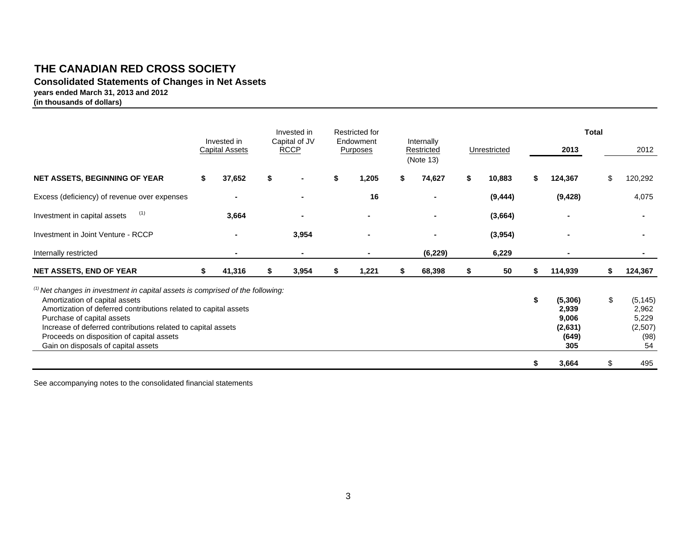**Consolidated Statements of Changes in Net Assets years ended March 31, 2013 and 2012**

**(in thousands of dollars)**

|                                                                                                                                                                                                                                                                                                                                                                          | Invested in           | Invested in                  |    | Restricted for        |    |                                       |              |                                                            | <b>Total</b> |                                                     |
|--------------------------------------------------------------------------------------------------------------------------------------------------------------------------------------------------------------------------------------------------------------------------------------------------------------------------------------------------------------------------|-----------------------|------------------------------|----|-----------------------|----|---------------------------------------|--------------|------------------------------------------------------------|--------------|-----------------------------------------------------|
|                                                                                                                                                                                                                                                                                                                                                                          | <b>Capital Assets</b> | Capital of JV<br><b>RCCP</b> |    | Endowment<br>Purposes |    | Internally<br>Restricted<br>(Note 13) | Unrestricted | 2013                                                       |              | 2012                                                |
| <b>NET ASSETS, BEGINNING OF YEAR</b>                                                                                                                                                                                                                                                                                                                                     | \$<br>37,652          | \$<br>$\blacksquare$         | S  | 1,205                 | S. | 74,627                                | \$<br>10,883 | 124,367                                                    |              | 120,292                                             |
| Excess (deficiency) of revenue over expenses                                                                                                                                                                                                                                                                                                                             |                       | $\blacksquare$               |    | 16                    |    |                                       | (9, 444)     | (9, 428)                                                   |              | 4,075                                               |
| (1)<br>Investment in capital assets                                                                                                                                                                                                                                                                                                                                      | 3,664                 |                              |    |                       |    |                                       | (3,664)      |                                                            |              |                                                     |
| Investment in Joint Venture - RCCP                                                                                                                                                                                                                                                                                                                                       |                       | 3,954                        |    |                       |    |                                       | (3,954)      |                                                            |              |                                                     |
| Internally restricted                                                                                                                                                                                                                                                                                                                                                    | $\blacksquare$        | $\blacksquare$               |    | $\blacksquare$        |    | (6, 229)                              | 6,229        | ٠                                                          |              |                                                     |
| <b>NET ASSETS, END OF YEAR</b>                                                                                                                                                                                                                                                                                                                                           | \$<br>41,316          | \$<br>3,954                  | \$ | 1,221                 | \$ | 68,398                                | \$<br>50     | \$<br>114,939                                              | S.           | 124,367                                             |
| $(1)$ Net changes in investment in capital assets is comprised of the following:<br>Amortization of capital assets<br>Amortization of deferred contributions related to capital assets<br>Purchase of capital assets<br>Increase of deferred contributions related to capital assets<br>Proceeds on disposition of capital assets<br>Gain on disposals of capital assets |                       |                              |    |                       |    |                                       |              | \$<br>(5,306)<br>2,939<br>9,006<br>(2,631)<br>(649)<br>305 | \$           | (5, 145)<br>2,962<br>5,229<br>(2,507)<br>(98)<br>54 |
|                                                                                                                                                                                                                                                                                                                                                                          |                       |                              |    |                       |    |                                       |              | \$<br>3,664                                                | \$           | 495                                                 |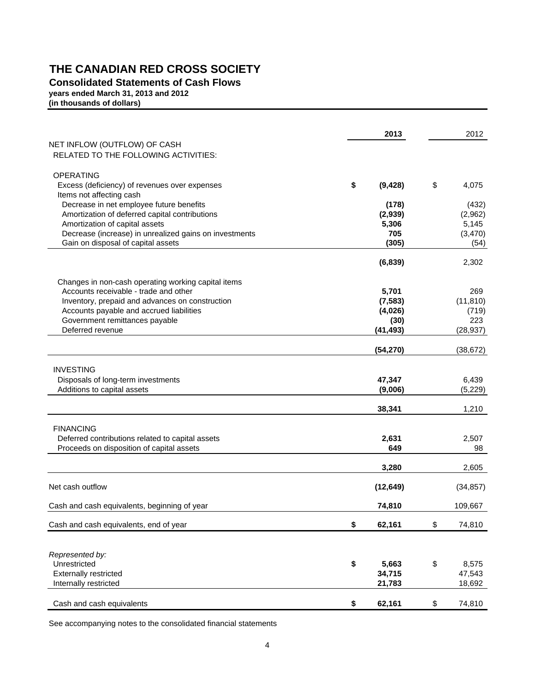**Consolidated Statements of Cash Flows**

**years ended March 31, 2013 and 2012**

**(in thousands of dollars)**

|                                                                                              | 2013           | 2012         |
|----------------------------------------------------------------------------------------------|----------------|--------------|
| NET INFLOW (OUTFLOW) OF CASH                                                                 |                |              |
| RELATED TO THE FOLLOWING ACTIVITIES:                                                         |                |              |
| <b>OPERATING</b>                                                                             |                |              |
| Excess (deficiency) of revenues over expenses                                                | \$<br>(9, 428) | \$<br>4,075  |
| Items not affecting cash                                                                     |                |              |
| Decrease in net employee future benefits                                                     | (178)          | (432)        |
| Amortization of deferred capital contributions                                               | (2,939)        | (2,962)      |
| Amortization of capital assets                                                               | 5,306          | 5,145        |
| Decrease (increase) in unrealized gains on investments                                       | 705            | (3,470)      |
| Gain on disposal of capital assets                                                           | (305)          | (54)         |
|                                                                                              | (6, 839)       | 2,302        |
|                                                                                              |                |              |
| Changes in non-cash operating working capital items<br>Accounts receivable - trade and other | 5,701          | 269          |
| Inventory, prepaid and advances on construction                                              | (7, 583)       | (11, 810)    |
| Accounts payable and accrued liabilities                                                     | (4,026)        | (719)        |
| Government remittances payable                                                               | (30)           | 223          |
| Deferred revenue                                                                             | (41, 493)      | (28, 937)    |
|                                                                                              |                |              |
|                                                                                              | (54, 270)      | (38, 672)    |
| <b>INVESTING</b>                                                                             |                |              |
| Disposals of long-term investments                                                           | 47,347         | 6,439        |
| Additions to capital assets                                                                  | (9,006)        | (5, 229)     |
|                                                                                              |                |              |
|                                                                                              | 38,341         | 1,210        |
| <b>FINANCING</b>                                                                             |                |              |
| Deferred contributions related to capital assets                                             | 2,631          | 2,507        |
| Proceeds on disposition of capital assets                                                    | 649            | 98           |
|                                                                                              | 3,280          | 2,605        |
| Net cash outflow                                                                             | (12, 649)      | (34, 857)    |
| Cash and cash equivalents, beginning of year                                                 | 74,810         | 109,667      |
|                                                                                              |                |              |
| Cash and cash equivalents, end of year                                                       | \$<br>62,161   | \$<br>74,810 |
|                                                                                              |                |              |
| Represented by:                                                                              |                |              |
| Unrestricted                                                                                 | \$<br>5,663    | \$<br>8,575  |
| <b>Externally restricted</b>                                                                 | 34,715         | 47,543       |
| Internally restricted                                                                        | 21,783         | 18,692       |
| Cash and cash equivalents                                                                    | \$<br>62,161   | \$<br>74,810 |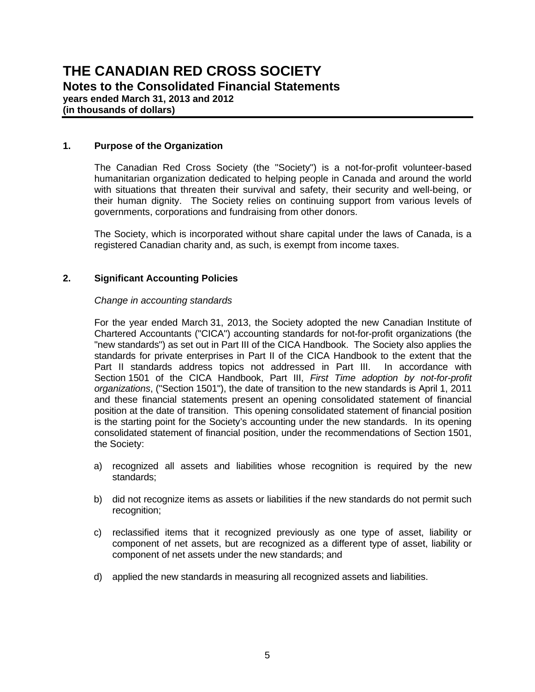**(in thousands of dollars)**

#### **1. Purpose of the Organization**

The Canadian Red Cross Society (the "Society") is a not-for-profit volunteer-based humanitarian organization dedicated to helping people in Canada and around the world with situations that threaten their survival and safety, their security and well-being, or their human dignity. The Society relies on continuing support from various levels of governments, corporations and fundraising from other donors.

The Society, which is incorporated without share capital under the laws of Canada, is a registered Canadian charity and, as such, is exempt from income taxes.

#### **2. Significant Accounting Policies**

#### *Change in accounting standards*

 For the year ended March 31, 2013, the Society adopted the new Canadian Institute of Chartered Accountants ("CICA") accounting standards for not-for-profit organizations (the "new standards") as set out in Part III of the CICA Handbook. The Society also applies the standards for private enterprises in Part II of the CICA Handbook to the extent that the Part II standards address topics not addressed in Part III. In accordance with Section 1501 of the CICA Handbook, Part III, *First Time adoption by not-for-profit organizations*, ("Section 1501"), the date of transition to the new standards is April 1, 2011 and these financial statements present an opening consolidated statement of financial position at the date of transition. This opening consolidated statement of financial position is the starting point for the Society's accounting under the new standards. In its opening consolidated statement of financial position, under the recommendations of Section 1501, the Society:

- a) recognized all assets and liabilities whose recognition is required by the new standards;
- b) did not recognize items as assets or liabilities if the new standards do not permit such recognition;
- c) reclassified items that it recognized previously as one type of asset, liability or component of net assets, but are recognized as a different type of asset, liability or component of net assets under the new standards; and
- d) applied the new standards in measuring all recognized assets and liabilities.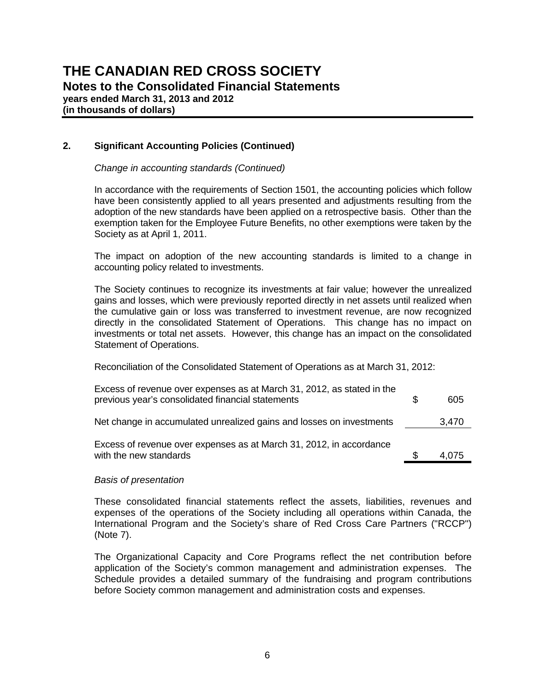**years ended March 31, 2013 and 2012 (in thousands of dollars)**

#### **2. Significant Accounting Policies (Continued)**

#### *Change in accounting standards (Continued)*

 In accordance with the requirements of Section 1501, the accounting policies which follow have been consistently applied to all years presented and adjustments resulting from the adoption of the new standards have been applied on a retrospective basis. Other than the exemption taken for the Employee Future Benefits, no other exemptions were taken by the Society as at April 1, 2011.

 The impact on adoption of the new accounting standards is limited to a change in accounting policy related to investments.

 The Society continues to recognize its investments at fair value; however the unrealized gains and losses, which were previously reported directly in net assets until realized when the cumulative gain or loss was transferred to investment revenue, are now recognized directly in the consolidated Statement of Operations. This change has no impact on investments or total net assets. However, this change has an impact on the consolidated Statement of Operations.

Reconciliation of the Consolidated Statement of Operations as at March 31, 2012:

| Excess of revenue over expenses as at March 31, 2012, as stated in the<br>previous year's consolidated financial statements | 605   |
|-----------------------------------------------------------------------------------------------------------------------------|-------|
| Net change in accumulated unrealized gains and losses on investments                                                        | 3,470 |
| Excess of revenue over expenses as at March 31, 2012, in accordance<br>with the new standards                               | 4.075 |

#### *Basis of presentation*

These consolidated financial statements reflect the assets, liabilities, revenues and expenses of the operations of the Society including all operations within Canada, the International Program and the Society's share of Red Cross Care Partners ("RCCP") (Note 7).

The Organizational Capacity and Core Programs reflect the net contribution before application of the Society's common management and administration expenses. The Schedule provides a detailed summary of the fundraising and program contributions before Society common management and administration costs and expenses.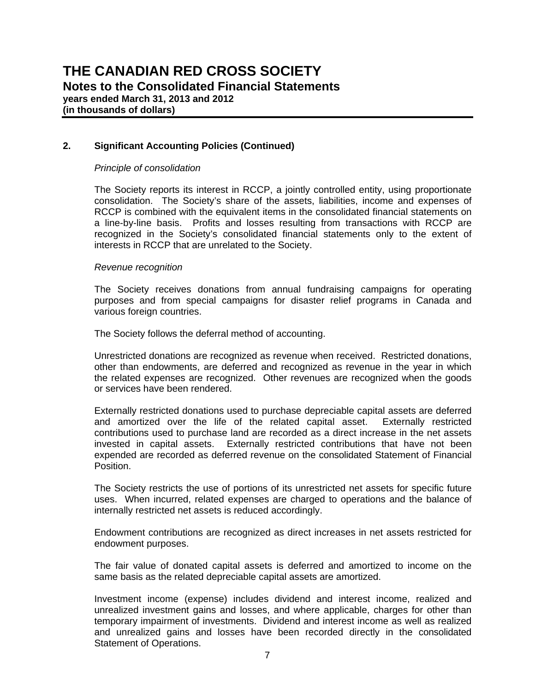**(in thousands of dollars)**

#### **2. Significant Accounting Policies (Continued)**

#### *Principle of consolidation*

The Society reports its interest in RCCP, a jointly controlled entity, using proportionate consolidation. The Society's share of the assets, liabilities, income and expenses of RCCP is combined with the equivalent items in the consolidated financial statements on a line-by-line basis. Profits and losses resulting from transactions with RCCP are recognized in the Society's consolidated financial statements only to the extent of interests in RCCP that are unrelated to the Society.

#### *Revenue recognition*

The Society receives donations from annual fundraising campaigns for operating purposes and from special campaigns for disaster relief programs in Canada and various foreign countries.

The Society follows the deferral method of accounting.

Unrestricted donations are recognized as revenue when received. Restricted donations, other than endowments, are deferred and recognized as revenue in the year in which the related expenses are recognized. Other revenues are recognized when the goods or services have been rendered.

Externally restricted donations used to purchase depreciable capital assets are deferred and amortized over the life of the related capital asset. Externally restricted contributions used to purchase land are recorded as a direct increase in the net assets invested in capital assets. Externally restricted contributions that have not been expended are recorded as deferred revenue on the consolidated Statement of Financial Position.

The Society restricts the use of portions of its unrestricted net assets for specific future uses. When incurred, related expenses are charged to operations and the balance of internally restricted net assets is reduced accordingly.

Endowment contributions are recognized as direct increases in net assets restricted for endowment purposes.

The fair value of donated capital assets is deferred and amortized to income on the same basis as the related depreciable capital assets are amortized.

Investment income (expense) includes dividend and interest income, realized and unrealized investment gains and losses, and where applicable, charges for other than temporary impairment of investments. Dividend and interest income as well as realized and unrealized gains and losses have been recorded directly in the consolidated Statement of Operations.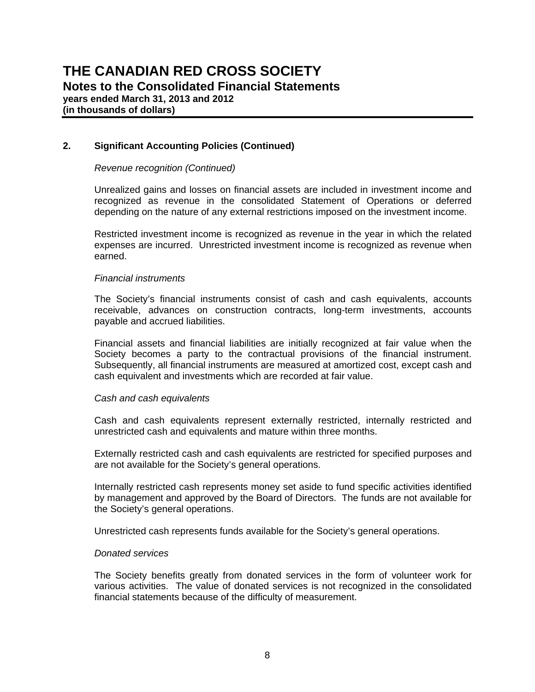**(in thousands of dollars)**

#### **2. Significant Accounting Policies (Continued)**

#### *Revenue recognition (Continued)*

Unrealized gains and losses on financial assets are included in investment income and recognized as revenue in the consolidated Statement of Operations or deferred depending on the nature of any external restrictions imposed on the investment income.

Restricted investment income is recognized as revenue in the year in which the related expenses are incurred. Unrestricted investment income is recognized as revenue when earned.

#### *Financial instruments*

The Society's financial instruments consist of cash and cash equivalents, accounts receivable, advances on construction contracts, long-term investments, accounts payable and accrued liabilities.

Financial assets and financial liabilities are initially recognized at fair value when the Society becomes a party to the contractual provisions of the financial instrument. Subsequently, all financial instruments are measured at amortized cost, except cash and cash equivalent and investments which are recorded at fair value.

#### *Cash and cash equivalents*

Cash and cash equivalents represent externally restricted, internally restricted and unrestricted cash and equivalents and mature within three months.

Externally restricted cash and cash equivalents are restricted for specified purposes and are not available for the Society's general operations.

Internally restricted cash represents money set aside to fund specific activities identified by management and approved by the Board of Directors. The funds are not available for the Society's general operations.

Unrestricted cash represents funds available for the Society's general operations.

#### *Donated services*

The Society benefits greatly from donated services in the form of volunteer work for various activities. The value of donated services is not recognized in the consolidated financial statements because of the difficulty of measurement.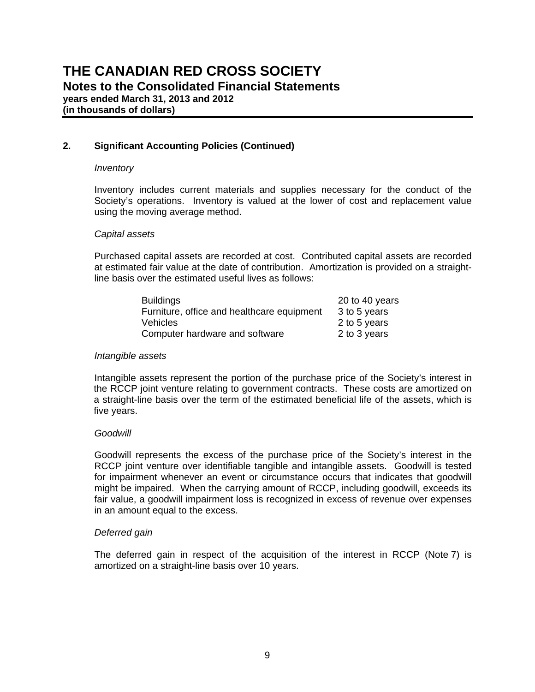**years ended March 31, 2013 and 2012 (in thousands of dollars)**

#### **2. Significant Accounting Policies (Continued)**

#### *Inventory*

Inventory includes current materials and supplies necessary for the conduct of the Society's operations. Inventory is valued at the lower of cost and replacement value using the moving average method.

#### *Capital assets*

Purchased capital assets are recorded at cost. Contributed capital assets are recorded at estimated fair value at the date of contribution. Amortization is provided on a straightline basis over the estimated useful lives as follows:

| <b>Buildings</b>                           | 20 to 40 years |
|--------------------------------------------|----------------|
| Furniture, office and healthcare equipment | 3 to 5 years   |
| <b>Vehicles</b>                            | 2 to 5 years   |
| Computer hardware and software             | 2 to 3 years   |

#### *Intangible assets*

 Intangible assets represent the portion of the purchase price of the Society's interest in the RCCP joint venture relating to government contracts. These costs are amortized on a straight-line basis over the term of the estimated beneficial life of the assets, which is five years.

#### *Goodwill*

Goodwill represents the excess of the purchase price of the Society's interest in the RCCP joint venture over identifiable tangible and intangible assets. Goodwill is tested for impairment whenever an event or circumstance occurs that indicates that goodwill might be impaired. When the carrying amount of RCCP, including goodwill, exceeds its fair value, a goodwill impairment loss is recognized in excess of revenue over expenses in an amount equal to the excess.

#### *Deferred gain*

The deferred gain in respect of the acquisition of the interest in RCCP (Note 7) is amortized on a straight-line basis over 10 years.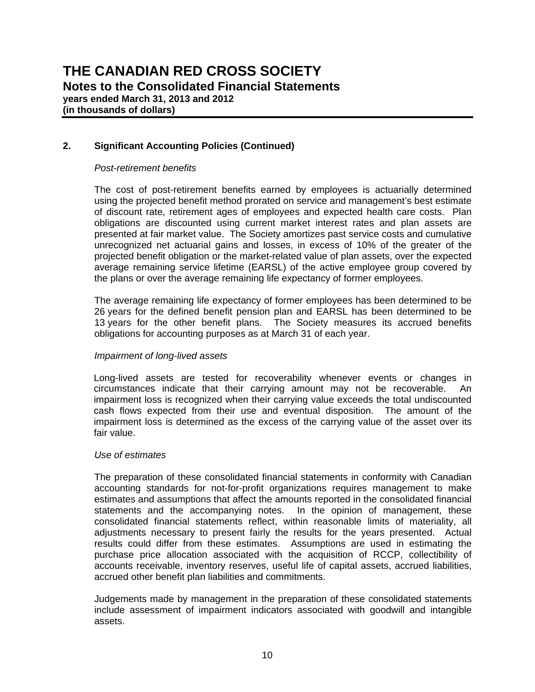**(in thousands of dollars)**

#### **2. Significant Accounting Policies (Continued)**

#### *Post-retirement benefits*

The cost of post-retirement benefits earned by employees is actuarially determined using the projected benefit method prorated on service and management's best estimate of discount rate, retirement ages of employees and expected health care costs. Plan obligations are discounted using current market interest rates and plan assets are presented at fair market value. The Society amortizes past service costs and cumulative unrecognized net actuarial gains and losses, in excess of 10% of the greater of the projected benefit obligation or the market-related value of plan assets, over the expected average remaining service lifetime (EARSL) of the active employee group covered by the plans or over the average remaining life expectancy of former employees.

The average remaining life expectancy of former employees has been determined to be 26 years for the defined benefit pension plan and EARSL has been determined to be 13 years for the other benefit plans. The Society measures its accrued benefits obligations for accounting purposes as at March 31 of each year.

#### *Impairment of long-lived assets*

Long-lived assets are tested for recoverability whenever events or changes in circumstances indicate that their carrying amount may not be recoverable. An impairment loss is recognized when their carrying value exceeds the total undiscounted cash flows expected from their use and eventual disposition. The amount of the impairment loss is determined as the excess of the carrying value of the asset over its fair value.

#### *Use of estimates*

The preparation of these consolidated financial statements in conformity with Canadian accounting standards for not-for-profit organizations requires management to make estimates and assumptions that affect the amounts reported in the consolidated financial statements and the accompanying notes. In the opinion of management, these consolidated financial statements reflect, within reasonable limits of materiality, all adjustments necessary to present fairly the results for the years presented. Actual results could differ from these estimates. Assumptions are used in estimating the purchase price allocation associated with the acquisition of RCCP, collectibility of accounts receivable, inventory reserves, useful life of capital assets, accrued liabilities, accrued other benefit plan liabilities and commitments.

Judgements made by management in the preparation of these consolidated statements include assessment of impairment indicators associated with goodwill and intangible assets.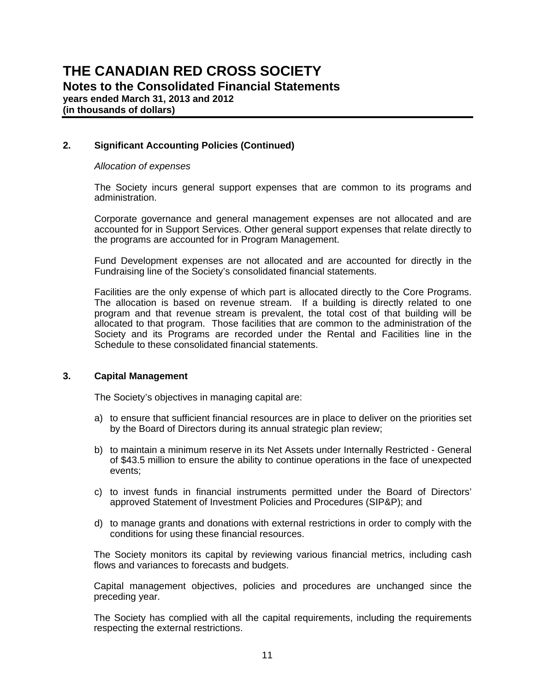**(in thousands of dollars)**

#### **2. Significant Accounting Policies (Continued)**

#### *Allocation of expenses*

The Society incurs general support expenses that are common to its programs and administration.

Corporate governance and general management expenses are not allocated and are accounted for in Support Services. Other general support expenses that relate directly to the programs are accounted for in Program Management.

Fund Development expenses are not allocated and are accounted for directly in the Fundraising line of the Society's consolidated financial statements.

Facilities are the only expense of which part is allocated directly to the Core Programs. The allocation is based on revenue stream. If a building is directly related to one program and that revenue stream is prevalent, the total cost of that building will be allocated to that program. Those facilities that are common to the administration of the Society and its Programs are recorded under the Rental and Facilities line in the Schedule to these consolidated financial statements.

#### **3. Capital Management**

The Society's objectives in managing capital are:

- a) to ensure that sufficient financial resources are in place to deliver on the priorities set by the Board of Directors during its annual strategic plan review;
- b) to maintain a minimum reserve in its Net Assets under Internally Restricted General of \$43.5 million to ensure the ability to continue operations in the face of unexpected events;
- c) to invest funds in financial instruments permitted under the Board of Directors' approved Statement of Investment Policies and Procedures (SIP&P); and
- d) to manage grants and donations with external restrictions in order to comply with the conditions for using these financial resources.

The Society monitors its capital by reviewing various financial metrics, including cash flows and variances to forecasts and budgets.

Capital management objectives, policies and procedures are unchanged since the preceding year.

The Society has complied with all the capital requirements, including the requirements respecting the external restrictions.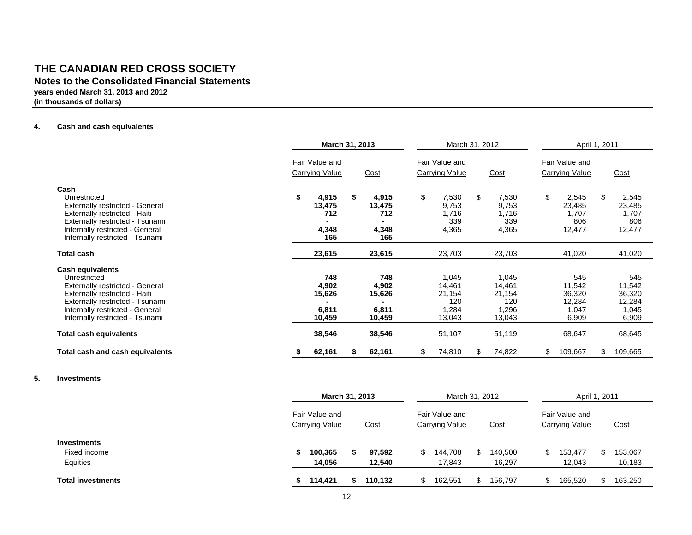**Notes to the Consolidated Financial Statements**

**years ended March 31, 2013 and 2012**

**(in thousands of dollars)**

#### **4.Cash and cash equivalents**

|                                                                                                                                                                                                                             | March 31, 2013                              | March 31, 2012                              |                                                     | April 1, 2011                                       |                                                     |                                                     |  |
|-----------------------------------------------------------------------------------------------------------------------------------------------------------------------------------------------------------------------------|---------------------------------------------|---------------------------------------------|-----------------------------------------------------|-----------------------------------------------------|-----------------------------------------------------|-----------------------------------------------------|--|
|                                                                                                                                                                                                                             | Fair Value and                              |                                             | Fair Value and                                      |                                                     | Fair Value and                                      |                                                     |  |
|                                                                                                                                                                                                                             | <b>Carrying Value</b>                       | Cost                                        | <b>Carrying Value</b>                               | Cost                                                | <b>Carrying Value</b>                               | Cost                                                |  |
| Cash<br>Unrestricted<br><b>Externally restricted - General</b><br>Externally restricted - Haiti<br>Externally restricted - Tsunami<br>Internally restricted - General<br>Internally restricted - Tsunami                    | 4,915<br>S<br>13,475<br>712<br>4,348<br>165 | 4,915<br>S<br>13,475<br>712<br>4,348<br>165 | \$<br>7,530<br>9,753<br>1,716<br>339<br>4,365       | \$<br>7,530<br>9,753<br>1,716<br>339<br>4,365       | S.<br>2,545<br>23,485<br>1,707<br>806<br>12,477     | 2,545<br>S<br>23,485<br>1,707<br>806<br>12,477      |  |
| <b>Total cash</b>                                                                                                                                                                                                           | 23,615                                      | 23,615                                      | 23,703                                              | 23,703                                              | 41,020                                              | 41,020                                              |  |
| <b>Cash equivalents</b><br>Unrestricted<br><b>Externally restricted - General</b><br>Externally restricted - Haiti<br>Externally restricted - Tsunami<br>Internally restricted - General<br>Internally restricted - Tsunami | 748<br>4,902<br>15,626<br>6,811<br>10,459   | 748<br>4,902<br>15,626<br>6,811<br>10,459   | 1,045<br>14,461<br>21,154<br>120<br>1,284<br>13,043 | 1,045<br>14,461<br>21,154<br>120<br>1,296<br>13,043 | 545<br>11,542<br>36,320<br>12,284<br>1,047<br>6,909 | 545<br>11,542<br>36,320<br>12,284<br>1,045<br>6,909 |  |
| <b>Total cash equivalents</b>                                                                                                                                                                                               | 38,546                                      | 38,546                                      | 51,107                                              | 51,119                                              | 68,647                                              | 68,645                                              |  |
| Total cash and cash equivalents                                                                                                                                                                                             | 62,161                                      | 62,161<br>S                                 | \$<br>74,810                                        | 74,822<br>\$                                        | \$<br>109,667                                       | 109,665<br>\$                                       |  |
|                                                                                                                                                                                                                             |                                             |                                             |                                                     |                                                     |                                                     |                                                     |  |

#### **5. Investments**

|                                                | March 31, 2013                   |   |                  | March 31, 2012                   |                   |      | April 1, 2011                    |                   |
|------------------------------------------------|----------------------------------|---|------------------|----------------------------------|-------------------|------|----------------------------------|-------------------|
|                                                | Fair Value and<br>Carrying Value |   | <u>Cost</u>      | Fair Value and<br>Carrying Value | <u>Cost</u>       |      | Fair Value and<br>Carrying Value | Cost              |
| <b>Investments</b><br>Fixed income<br>Equities | 100,365<br>14,056                | S | 97,592<br>12,540 | 144,708<br>17,843                | 140,500<br>16,297 | \$.  | 153,477<br>12,043                | 153,067<br>10,183 |
| <b>Total investments</b>                       | 114,421                          |   | 110.132          | 162,551                          | 156.797           | - 35 | 165,520                          | 163,250           |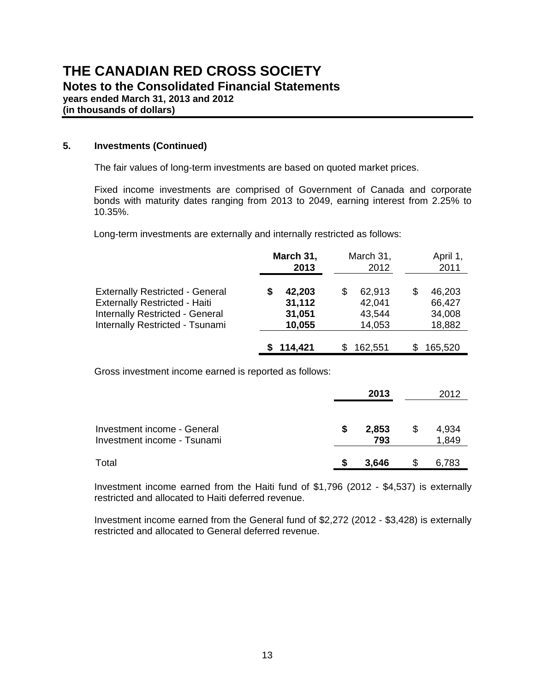**(in thousands of dollars)**

#### **5. Investments (Continued)**

The fair values of long-term investments are based on quoted market prices.

Fixed income investments are comprised of Government of Canada and corporate bonds with maturity dates ranging from 2013 to 2049, earning interest from 2.25% to 10.35%.

Long-term investments are externally and internally restricted as follows:

|                                                                                                                                                      | March 31,<br>2013                    | March 31,<br>2012                          | April 1,<br>2011                     |
|------------------------------------------------------------------------------------------------------------------------------------------------------|--------------------------------------|--------------------------------------------|--------------------------------------|
| <b>Externally Restricted - General</b><br><b>Externally Restricted - Haiti</b><br>Internally Restricted - General<br>Internally Restricted - Tsunami | 42,203<br>31,112<br>31,051<br>10,055 | 62,913<br>\$<br>42,041<br>43,544<br>14,053 | 46,203<br>66,427<br>34,008<br>18,882 |
|                                                                                                                                                      | 114,421                              | 162,551                                    | 165,520                              |

Gross investment income earned is reported as follows:

|                                                            |    | 2013         |    | 2012           |
|------------------------------------------------------------|----|--------------|----|----------------|
| Investment income - General<br>Investment income - Tsunami | \$ | 2,853<br>793 | \$ | 4,934<br>1,849 |
| Total                                                      | S  | 3,646        | S  | 6,783          |

Investment income earned from the Haiti fund of \$1,796 (2012 - \$4,537) is externally restricted and allocated to Haiti deferred revenue.

Investment income earned from the General fund of \$2,272 (2012 - \$3,428) is externally restricted and allocated to General deferred revenue.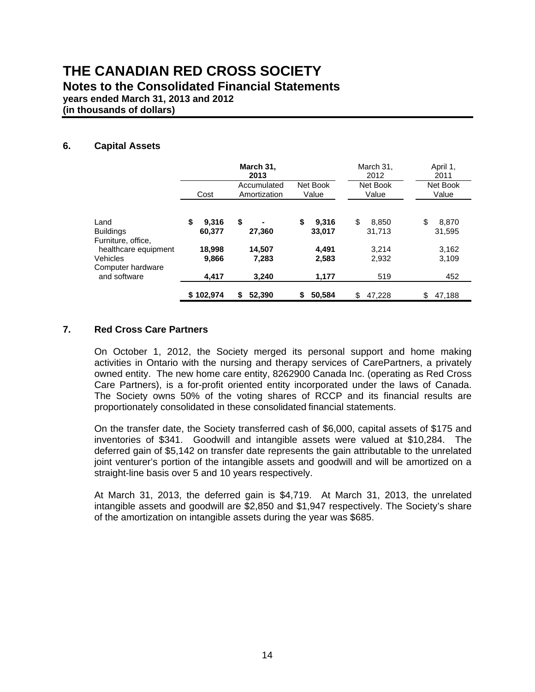**years ended March 31, 2013 and 2012**

**(in thousands of dollars)**

#### **6. Capital Assets**

|                                   |                       | March 31,<br>2013           |                       | March 31,<br>2012     | April 1,<br>2011      |
|-----------------------------------|-----------------------|-----------------------------|-----------------------|-----------------------|-----------------------|
|                                   | Cost                  | Accumulated<br>Amortization | Net Book<br>Value     | Net Book<br>Value     | Net Book<br>Value     |
| Land<br><b>Buildings</b>          | \$<br>9.316<br>60.377 | \$<br>27,360                | \$<br>9.316<br>33,017 | \$<br>8.850<br>31,713 | \$<br>8.870<br>31,595 |
| Furniture, office,                |                       |                             |                       |                       |                       |
| healthcare equipment<br>Vehicles  | 18,998<br>9,866       | 14,507<br>7,283             | 4,491<br>2,583        | 3.214<br>2,932        | 3,162<br>3,109        |
| Computer hardware<br>and software | 4.417                 | 3.240                       | 1,177                 | 519                   | 452                   |
|                                   | \$102,974             | 52,390                      | 50,584<br>\$          | 47.228<br>\$          | 47.188<br>S.          |

#### **7. Red Cross Care Partners**

On October 1, 2012, the Society merged its personal support and home making activities in Ontario with the nursing and therapy services of CarePartners, a privately owned entity. The new home care entity, 8262900 Canada Inc. (operating as Red Cross Care Partners), is a for-profit oriented entity incorporated under the laws of Canada. The Society owns 50% of the voting shares of RCCP and its financial results are proportionately consolidated in these consolidated financial statements.

On the transfer date, the Society transferred cash of \$6,000, capital assets of \$175 and inventories of \$341. Goodwill and intangible assets were valued at \$10,284. The deferred gain of \$5,142 on transfer date represents the gain attributable to the unrelated joint venturer's portion of the intangible assets and goodwill and will be amortized on a straight-line basis over 5 and 10 years respectively.

At March 31, 2013, the deferred gain is \$4,719. At March 31, 2013, the unrelated intangible assets and goodwill are \$2,850 and \$1,947 respectively. The Society's share of the amortization on intangible assets during the year was \$685.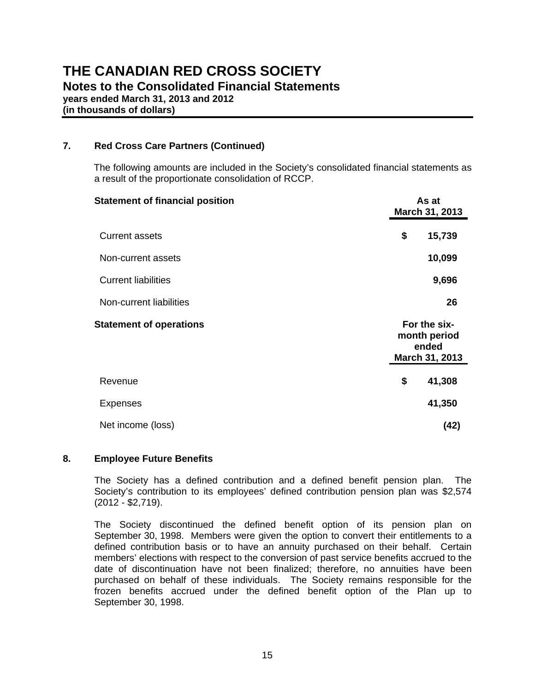**(in thousands of dollars)**

#### **7. Red Cross Care Partners (Continued)**

The following amounts are included in the Society's consolidated financial statements as a result of the proportionate consolidation of RCCP.

| <b>Statement of financial position</b> | As at<br>March 31, 2013                                 |
|----------------------------------------|---------------------------------------------------------|
| <b>Current assets</b>                  | 15,739<br>\$                                            |
| Non-current assets                     | 10,099                                                  |
| <b>Current liabilities</b>             | 9,696                                                   |
| Non-current liabilities                | 26                                                      |
| <b>Statement of operations</b>         | For the six-<br>month period<br>ended<br>March 31, 2013 |
| Revenue                                | \$<br>41,308                                            |
| <b>Expenses</b>                        | 41,350                                                  |
| Net income (loss)                      | (42)                                                    |

#### **8. Employee Future Benefits**

The Society has a defined contribution and a defined benefit pension plan. The Society's contribution to its employees' defined contribution pension plan was \$2,574 (2012 - \$2,719).

The Society discontinued the defined benefit option of its pension plan on September 30, 1998. Members were given the option to convert their entitlements to a defined contribution basis or to have an annuity purchased on their behalf. Certain members' elections with respect to the conversion of past service benefits accrued to the date of discontinuation have not been finalized; therefore, no annuities have been purchased on behalf of these individuals. The Society remains responsible for the frozen benefits accrued under the defined benefit option of the Plan up to September 30, 1998.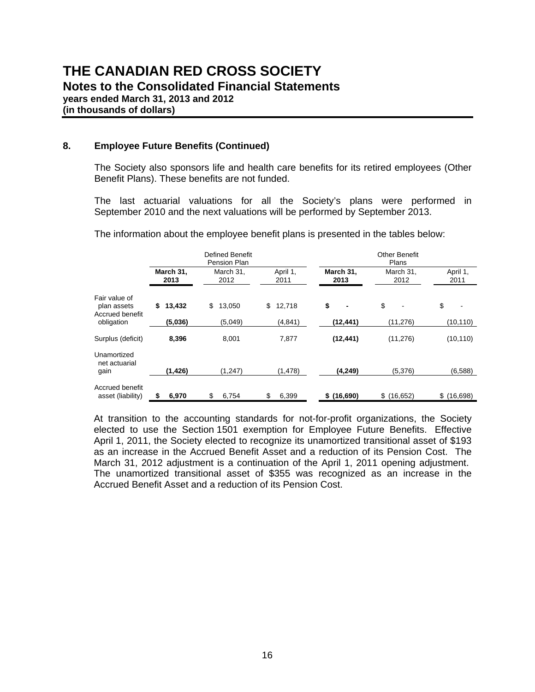**Notes to the Consolidated Financial Statements**

**years ended March 31, 2013 and 2012**

**(in thousands of dollars)**

#### **8. Employee Future Benefits (Continued)**

The Society also sponsors life and health care benefits for its retired employees (Other Benefit Plans). These benefits are not funded.

The last actuarial valuations for all the Society's plans were performed in September 2010 and the next valuations will be performed by September 2013.

|                                                 |                   | <b>Defined Benefit</b><br>Pension Plan |                  | Other Benefit<br>Plans |                   |                  |  |  |  |
|-------------------------------------------------|-------------------|----------------------------------------|------------------|------------------------|-------------------|------------------|--|--|--|
|                                                 | March 31,<br>2013 | March 31,<br>2012                      | April 1,<br>2011 | March 31,<br>2013      | March 31,<br>2012 | April 1.<br>2011 |  |  |  |
| Fair value of<br>plan assets<br>Accrued benefit | \$<br>13,432      | 13,050<br>\$                           | \$<br>12,718     | \$<br>۰                | \$                | \$               |  |  |  |
| obligation                                      | (5,036)           | (5,049)                                | (4, 841)         | (12,441)               | (11,276)          | (10, 110)        |  |  |  |
| Surplus (deficit)                               | 8,396             | 8,001                                  | 7.877            | (12, 441)              | (11, 276)         | (10, 110)        |  |  |  |
| Unamortized<br>net actuarial<br>gain            | (1, 426)          | (1, 247)                               | (1, 478)         | (4, 249)               | (5,376)           | (6,588)          |  |  |  |
|                                                 |                   |                                        |                  |                        |                   |                  |  |  |  |
| Accrued benefit<br>asset (liability)            | 6,970<br>\$       | 6,754<br>\$                            | 6,399<br>\$      | \$(16,690)             | \$(16,652)        | \$(16,698)       |  |  |  |

The information about the employee benefit plans is presented in the tables below:

At transition to the accounting standards for not-for-profit organizations, the Society elected to use the Section 1501 exemption for Employee Future Benefits. Effective April 1, 2011, the Society elected to recognize its unamortized transitional asset of \$193 as an increase in the Accrued Benefit Asset and a reduction of its Pension Cost. The March 31, 2012 adjustment is a continuation of the April 1, 2011 opening adjustment. The unamortized transitional asset of \$355 was recognized as an increase in the Accrued Benefit Asset and a reduction of its Pension Cost.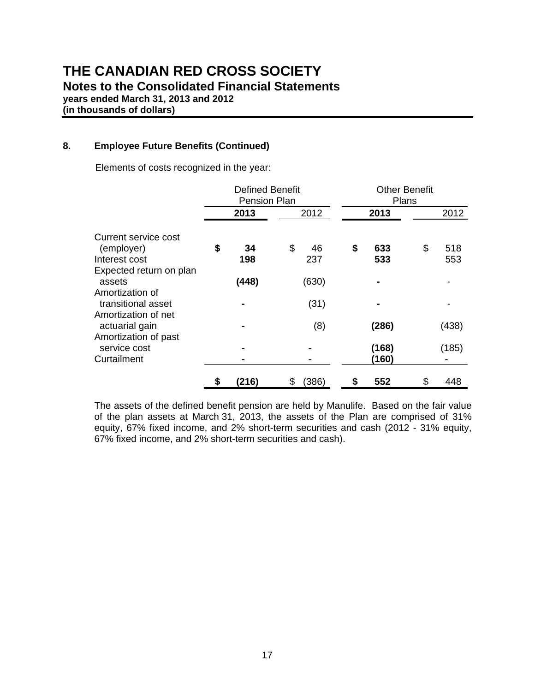**Notes to the Consolidated Financial Statements**

**years ended March 31, 2013 and 2012**

**(in thousands of dollars)**

#### **8. Employee Future Benefits (Continued)**

Elements of costs recognized in the year:

|                                                               | <b>Defined Benefit</b><br>Pension Plan |              |    | <b>Other Benefit</b><br>Plans |    |                |    |       |
|---------------------------------------------------------------|----------------------------------------|--------------|----|-------------------------------|----|----------------|----|-------|
|                                                               |                                        | 2013         |    | 2012                          |    | 2013           |    | 2012  |
| Current service cost<br>(employer)                            | \$                                     | 34           | \$ | 46                            | \$ | 633            | \$ | 518   |
| Interest cost<br>Expected return on plan<br>assets            |                                        | 198<br>(448) |    | 237<br>(630)                  |    | 533            |    | 553   |
| Amortization of<br>transitional asset                         |                                        |              |    | (31)                          |    |                |    |       |
| Amortization of net<br>actuarial gain<br>Amortization of past |                                        |              |    | (8)                           |    | (286)          |    | (438) |
| service cost<br>Curtailment                                   |                                        |              |    |                               |    | (168)<br>(160) |    | (185) |
|                                                               | \$                                     | (216)        | \$ | (386)                         | \$ | 552            | \$ | 448   |

The assets of the defined benefit pension are held by Manulife. Based on the fair value of the plan assets at March 31, 2013, the assets of the Plan are comprised of 31% equity, 67% fixed income, and 2% short-term securities and cash (2012 - 31% equity, 67% fixed income, and 2% short-term securities and cash).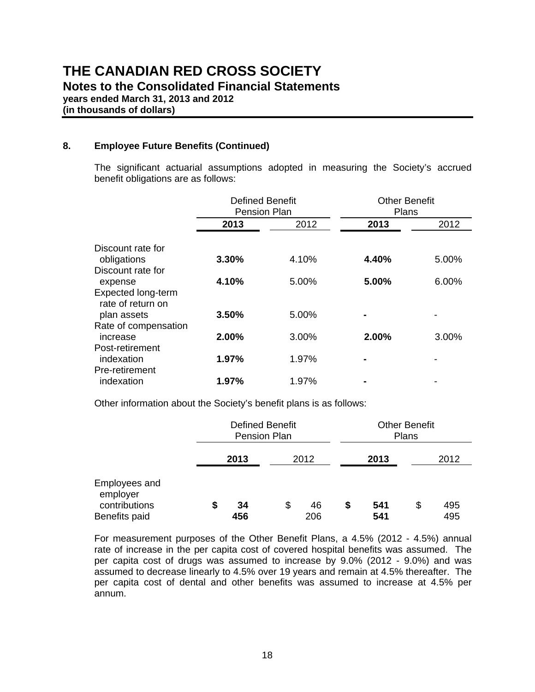**years ended March 31, 2013 and 2012**

**(in thousands of dollars)**

#### **8. Employee Future Benefits (Continued)**

The significant actuarial assumptions adopted in measuring the Society's accrued benefit obligations are as follows:

|                                                 | <b>Defined Benefit</b><br><b>Pension Plan</b> |       | <b>Other Benefit</b><br>Plans |       |
|-------------------------------------------------|-----------------------------------------------|-------|-------------------------------|-------|
|                                                 | 2013                                          | 2012  | 2013                          | 2012  |
| Discount rate for                               |                                               |       |                               |       |
| obligations<br>Discount rate for                | 3.30%                                         | 4.10% | 4.40%                         | 5.00% |
| expense                                         | 4.10%                                         | 5.00% | 5.00%                         | 6.00% |
| Expected long-term<br>rate of return on         |                                               |       |                               |       |
| plan assets                                     | 3.50%                                         | 5.00% |                               |       |
| Rate of compensation<br>increase                | 2.00%                                         | 3.00% | 2.00%                         | 3.00% |
| Post-retirement<br>indexation<br>Pre-retirement | 1.97%                                         | 1.97% |                               |       |
| indexation                                      | 1.97%                                         | 1.97% |                               |       |

Other information about the Society's benefit plans is as follows:

|                                            | <b>Defined Benefit</b><br>Pension Plan |    |      |    | <b>Other Benefit</b><br>Plans |    |      |  |
|--------------------------------------------|----------------------------------------|----|------|----|-------------------------------|----|------|--|
|                                            | 2013                                   |    | 2012 |    | 2013                          |    | 2012 |  |
| Employees and<br>employer<br>contributions | \$<br>34                               | \$ | 46   | \$ | 541                           | \$ | 495  |  |
| Benefits paid                              | 456                                    |    | 206  |    | 541                           |    | 495  |  |

For measurement purposes of the Other Benefit Plans, a 4.5% (2012 - 4.5%) annual rate of increase in the per capita cost of covered hospital benefits was assumed. The per capita cost of drugs was assumed to increase by 9.0% (2012 - 9.0%) and was assumed to decrease linearly to 4.5% over 19 years and remain at 4.5% thereafter. The per capita cost of dental and other benefits was assumed to increase at 4.5% per annum.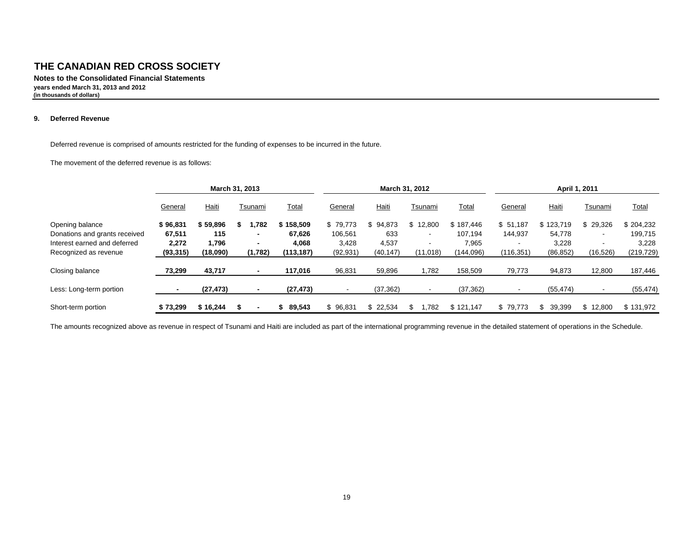**Notes to the Consolidated Financial Statements years ended March 31, 2013 and 2012 (in thousands of dollars)**

#### **9. Deferred Revenue**

Deferred revenue is comprised of amounts restricted for the funding of expenses to be incurred in the future.

The movement of the deferred revenue is as follows:

|                               | March 31, 2013 |           |   |                          | March 31, 2012 |           |           |                          | April 1, 2011 |            |               |                          |              |
|-------------------------------|----------------|-----------|---|--------------------------|----------------|-----------|-----------|--------------------------|---------------|------------|---------------|--------------------------|--------------|
|                               | General        | Haiti     |   | Tsunami                  | <u>Total</u>   | General   | Haiti     | Tsunami                  | <u>Total</u>  | General    | <b>Haiti</b>  | Tsunami                  | <u>Total</u> |
| Opening balance               | \$96,831       | \$59.896  | ъ | .782                     | \$158,509      | \$79.773  | \$94.873  | \$12.800                 | \$187.446     | \$51,187   | \$123.719     | 29.326                   | \$204,232    |
| Donations and grants received | 67,511         | 115       |   | $\blacksquare$           | 67,626         | 106,561   | 633       | $\overline{\phantom{a}}$ | 107.194       | 144,937    | 54,778        | $\overline{\phantom{a}}$ | 199,715      |
| Interest earned and deferred  | 2,272          | 1.796     |   | $\overline{\phantom{0}}$ | 4,068          | 3,428     | 4,537     | $\sim$                   | 7,965         | $\sim$     | 3,228         |                          | 3,228        |
| Recognized as revenue         | (93, 315)      | (18,090)  |   | (1,782)                  | (113, 187)     | (92, 931) | (40, 147) | (11, 018)                | (144, 096)    | (116, 351) | (86, 852)     | (16,526)                 | (219, 729)   |
| Closing balance               | 73,299         | 43,717    |   |                          | 117,016        | 96,831    | 59,896    | 1,782                    | 158,509       | 79,773     | 94,873        | 12,800                   | 187,446      |
| Less: Long-term portion       |                | (27, 473) |   |                          | (27, 473)      |           | (37, 362) |                          | (37, 362)     |            | (55, 474)     |                          | (55, 474)    |
| Short-term portion            | \$73.299       | \$16.244  |   |                          | 89.543         | \$96.831  | \$22.534  | 1.782<br>\$.             | \$121,147     | \$79.773   | \$.<br>39.399 | 12.800<br>\$             | \$131.972    |

The amounts recognized above as revenue in respect of Tsunami and Haiti are included as part of the international programming revenue in the detailed statement of operations in the Schedule.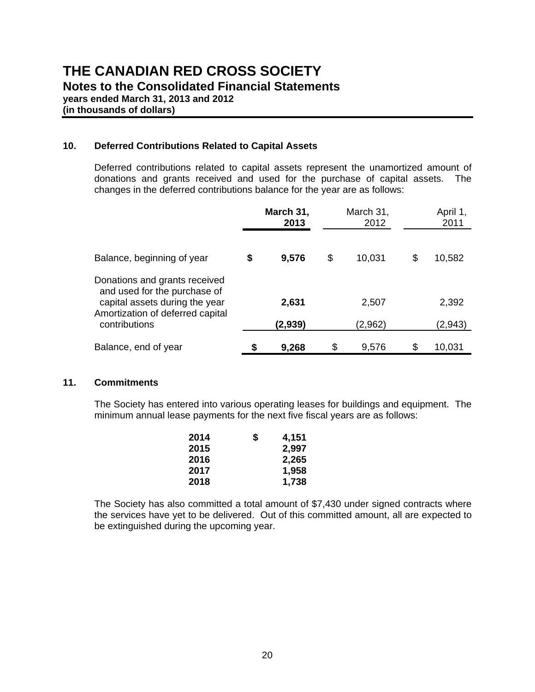**(in thousands of dollars)**

#### **10. Deferred Contributions Related to Capital Assets**

Deferred contributions related to capital assets represent the unamortized amount of donations and grants received and used for the purchase of capital assets. The changes in the deferred contributions balance for the year are as follows:

|                                                                                                                                     | March 31,<br>2013 |    | March 31,<br>2012 | April 1,<br>2011 |  |
|-------------------------------------------------------------------------------------------------------------------------------------|-------------------|----|-------------------|------------------|--|
| Balance, beginning of year                                                                                                          | \$<br>9,576       | \$ | 10,031            | \$<br>10,582     |  |
| Donations and grants received<br>and used for the purchase of<br>capital assets during the year<br>Amortization of deferred capital | 2,631             |    | 2,507             | 2,392            |  |
| contributions                                                                                                                       | (2,939)           |    | (2,962)           | (2,943)          |  |
| Balance, end of year                                                                                                                | 9,268             | S  | 9,576             | 10,031           |  |

#### **11. Commitments**

The Society has entered into various operating leases for buildings and equipment. The minimum annual lease payments for the next five fiscal years are as follows:

| 2014 | S | 4,151 |
|------|---|-------|
| 2015 |   | 2,997 |
| 2016 |   | 2,265 |
| 2017 |   | 1,958 |
| 2018 |   | 1,738 |

 The Society has also committed a total amount of \$7,430 under signed contracts where the services have yet to be delivered. Out of this committed amount, all are expected to be extinguished during the upcoming year.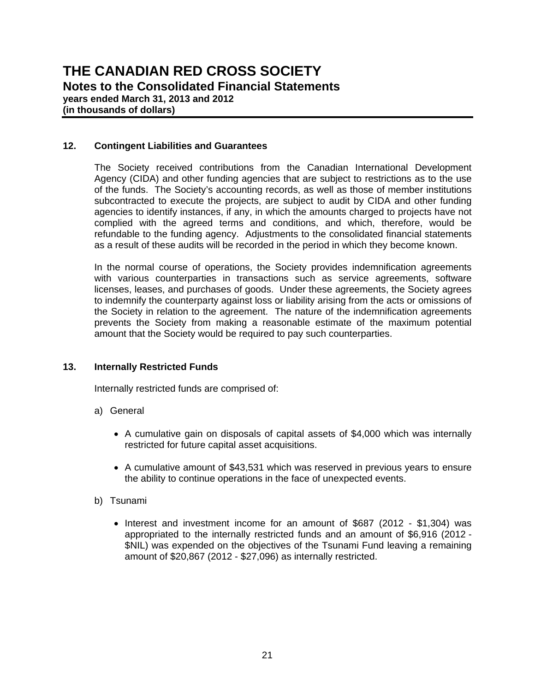**years ended March 31, 2013 and 2012 (in thousands of dollars)**

#### **12. Contingent Liabilities and Guarantees**

The Society received contributions from the Canadian International Development Agency (CIDA) and other funding agencies that are subject to restrictions as to the use of the funds. The Society's accounting records, as well as those of member institutions subcontracted to execute the projects, are subject to audit by CIDA and other funding agencies to identify instances, if any, in which the amounts charged to projects have not complied with the agreed terms and conditions, and which, therefore, would be refundable to the funding agency. Adjustments to the consolidated financial statements as a result of these audits will be recorded in the period in which they become known.

In the normal course of operations, the Society provides indemnification agreements with various counterparties in transactions such as service agreements, software licenses, leases, and purchases of goods. Under these agreements, the Society agrees to indemnify the counterparty against loss or liability arising from the acts or omissions of the Society in relation to the agreement. The nature of the indemnification agreements prevents the Society from making a reasonable estimate of the maximum potential amount that the Society would be required to pay such counterparties.

#### **13. Internally Restricted Funds**

Internally restricted funds are comprised of:

- a) General
	- A cumulative gain on disposals of capital assets of \$4,000 which was internally restricted for future capital asset acquisitions.
	- A cumulative amount of \$43,531 which was reserved in previous years to ensure the ability to continue operations in the face of unexpected events.
- b) Tsunami
	- Interest and investment income for an amount of \$687 (2012 \$1,304) was appropriated to the internally restricted funds and an amount of \$6,916 (2012 - \$NIL) was expended on the objectives of the Tsunami Fund leaving a remaining amount of \$20,867 (2012 - \$27,096) as internally restricted.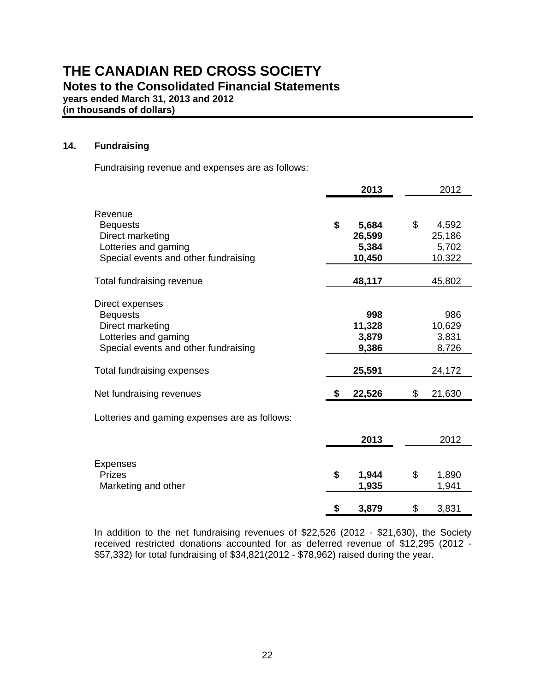**years ended March 31, 2013 and 2012**

**(in thousands of dollars)**

#### **14. Fundraising**

Fundraising revenue and expenses are as follows:

|                                               | 2013         | 2012         |
|-----------------------------------------------|--------------|--------------|
| Revenue                                       |              |              |
| <b>Bequests</b>                               | \$<br>5,684  | \$<br>4,592  |
| Direct marketing                              | 26,599       | 25,186       |
| Lotteries and gaming                          | 5,384        | 5,702        |
| Special events and other fundraising          | 10,450       | 10,322       |
| Total fundraising revenue                     | 48,117       | 45,802       |
| Direct expenses                               |              |              |
| <b>Bequests</b>                               | 998          | 986          |
| Direct marketing                              | 11,328       | 10,629       |
| Lotteries and gaming                          | 3,879        | 3,831        |
| Special events and other fundraising          | 9,386        | 8,726        |
| Total fundraising expenses                    | 25,591       | 24,172       |
| Net fundraising revenues                      | \$<br>22,526 | \$<br>21,630 |
| Lotteries and gaming expenses are as follows: |              |              |
|                                               | 2013         | 2012         |
| <b>Expenses</b>                               |              |              |
| <b>Prizes</b>                                 | \$<br>1,944  | \$<br>1,890  |
| Marketing and other                           | 1,935        | 1,941        |
|                                               | \$<br>3,879  | \$<br>3,831  |

 In addition to the net fundraising revenues of \$22,526 (2012 - \$21,630), the Society received restricted donations accounted for as deferred revenue of \$12,295 (2012 - \$57,332) for total fundraising of \$34,821(2012 - \$78,962) raised during the year.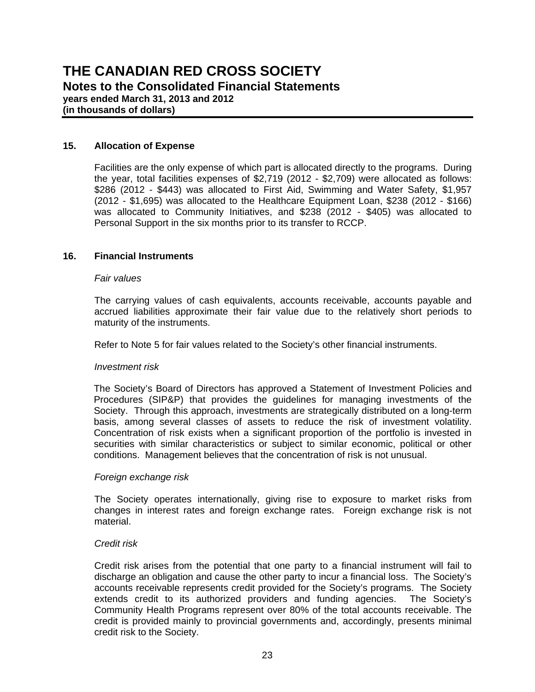**(in thousands of dollars)**

#### **15. Allocation of Expense**

Facilities are the only expense of which part is allocated directly to the programs. During the year, total facilities expenses of \$2,719 (2012 - \$2,709) were allocated as follows: \$286 (2012 - \$443) was allocated to First Aid, Swimming and Water Safety, \$1,957 (2012 - \$1,695) was allocated to the Healthcare Equipment Loan, \$238 (2012 - \$166) was allocated to Community Initiatives, and \$238 (2012 - \$405) was allocated to Personal Support in the six months prior to its transfer to RCCP.

#### **16. Financial Instruments**

#### *Fair values*

The carrying values of cash equivalents, accounts receivable, accounts payable and accrued liabilities approximate their fair value due to the relatively short periods to maturity of the instruments.

Refer to Note 5 for fair values related to the Society's other financial instruments.

#### *Investment risk*

The Society's Board of Directors has approved a Statement of Investment Policies and Procedures (SIP&P) that provides the guidelines for managing investments of the Society. Through this approach, investments are strategically distributed on a long-term basis, among several classes of assets to reduce the risk of investment volatility. Concentration of risk exists when a significant proportion of the portfolio is invested in securities with similar characteristics or subject to similar economic, political or other conditions. Management believes that the concentration of risk is not unusual.

#### *Foreign exchange risk*

The Society operates internationally, giving rise to exposure to market risks from changes in interest rates and foreign exchange rates. Foreign exchange risk is not material.

#### *Credit risk*

Credit risk arises from the potential that one party to a financial instrument will fail to discharge an obligation and cause the other party to incur a financial loss. The Society's accounts receivable represents credit provided for the Society's programs. The Society extends credit to its authorized providers and funding agencies. The Society's Community Health Programs represent over 80% of the total accounts receivable. The credit is provided mainly to provincial governments and, accordingly, presents minimal credit risk to the Society.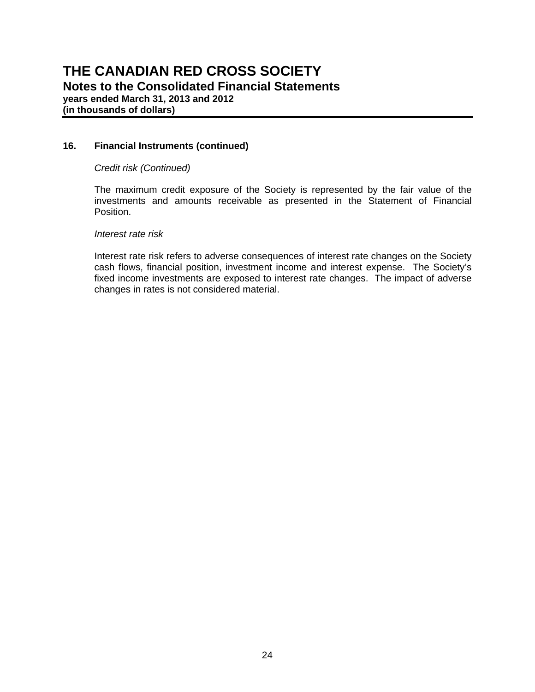**(in thousands of dollars)**

#### **16. Financial Instruments (continued)**

#### *Credit risk (Continued)*

The maximum credit exposure of the Society is represented by the fair value of the investments and amounts receivable as presented in the Statement of Financial Position.

#### *Interest rate risk*

Interest rate risk refers to adverse consequences of interest rate changes on the Society cash flows, financial position, investment income and interest expense. The Society's fixed income investments are exposed to interest rate changes. The impact of adverse changes in rates is not considered material.